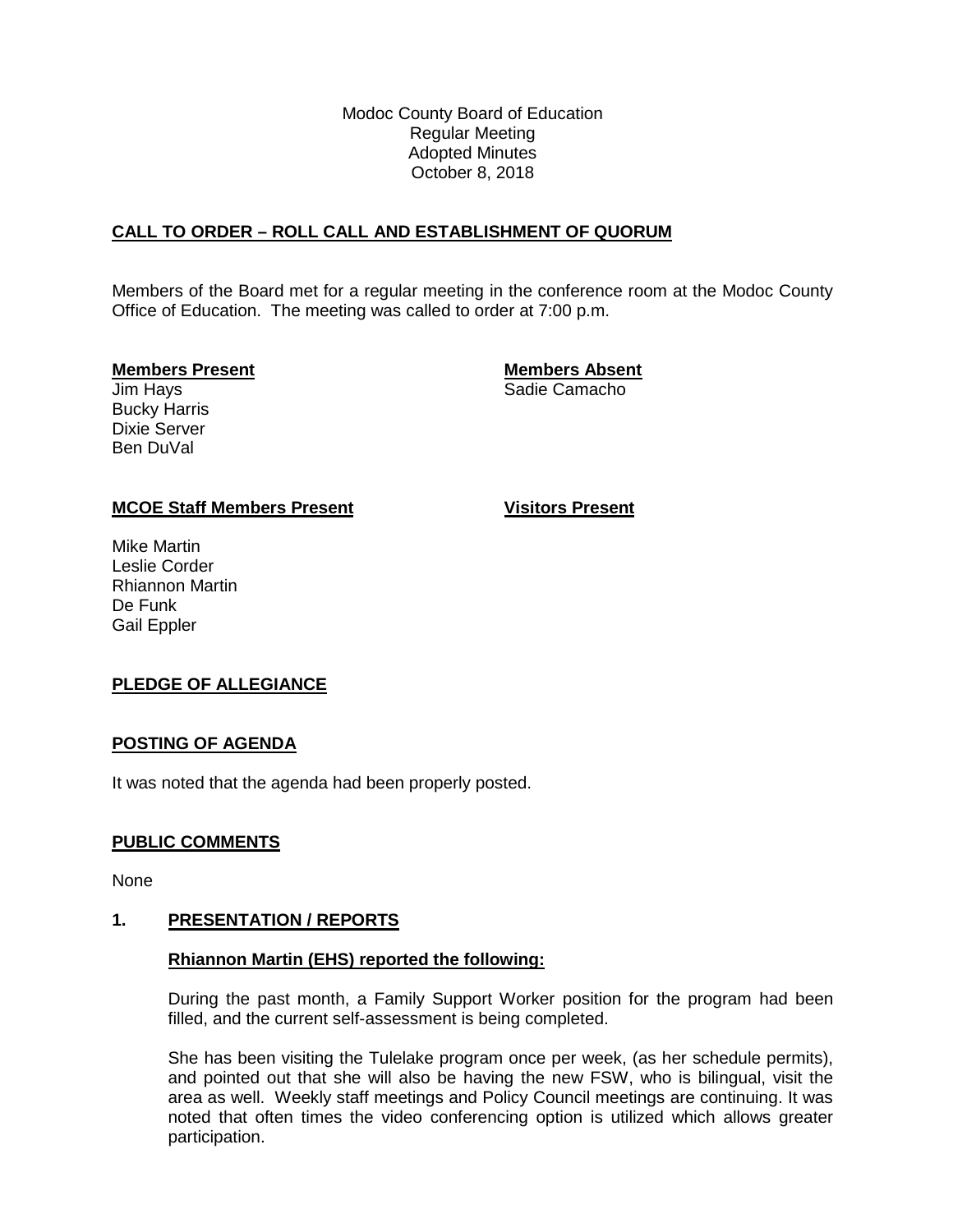Modoc County Board of Education Regular Meeting Adopted Minutes October 8, 2018

## **CALL TO ORDER – ROLL CALL AND ESTABLISHMENT OF QUORUM**

Members of the Board met for a regular meeting in the conference room at the Modoc County Office of Education. The meeting was called to order at 7:00 p.m.

Bucky Harris Dixie Server Ben DuVal

**Members Present Members Absent** Sadie Camacho

#### **MCOE Staff Members Present Visitors Present**

Mike Martin Leslie Corder Rhiannon Martin De Funk Gail Eppler

## **PLEDGE OF ALLEGIANCE**

#### **POSTING OF AGENDA**

It was noted that the agenda had been properly posted.

## **PUBLIC COMMENTS**

None

#### **1. PRESENTATION / REPORTS**

#### **Rhiannon Martin (EHS) reported the following:**

During the past month, a Family Support Worker position for the program had been filled, and the current self-assessment is being completed.

She has been visiting the Tulelake program once per week, (as her schedule permits), and pointed out that she will also be having the new FSW, who is bilingual, visit the area as well. Weekly staff meetings and Policy Council meetings are continuing. It was noted that often times the video conferencing option is utilized which allows greater participation.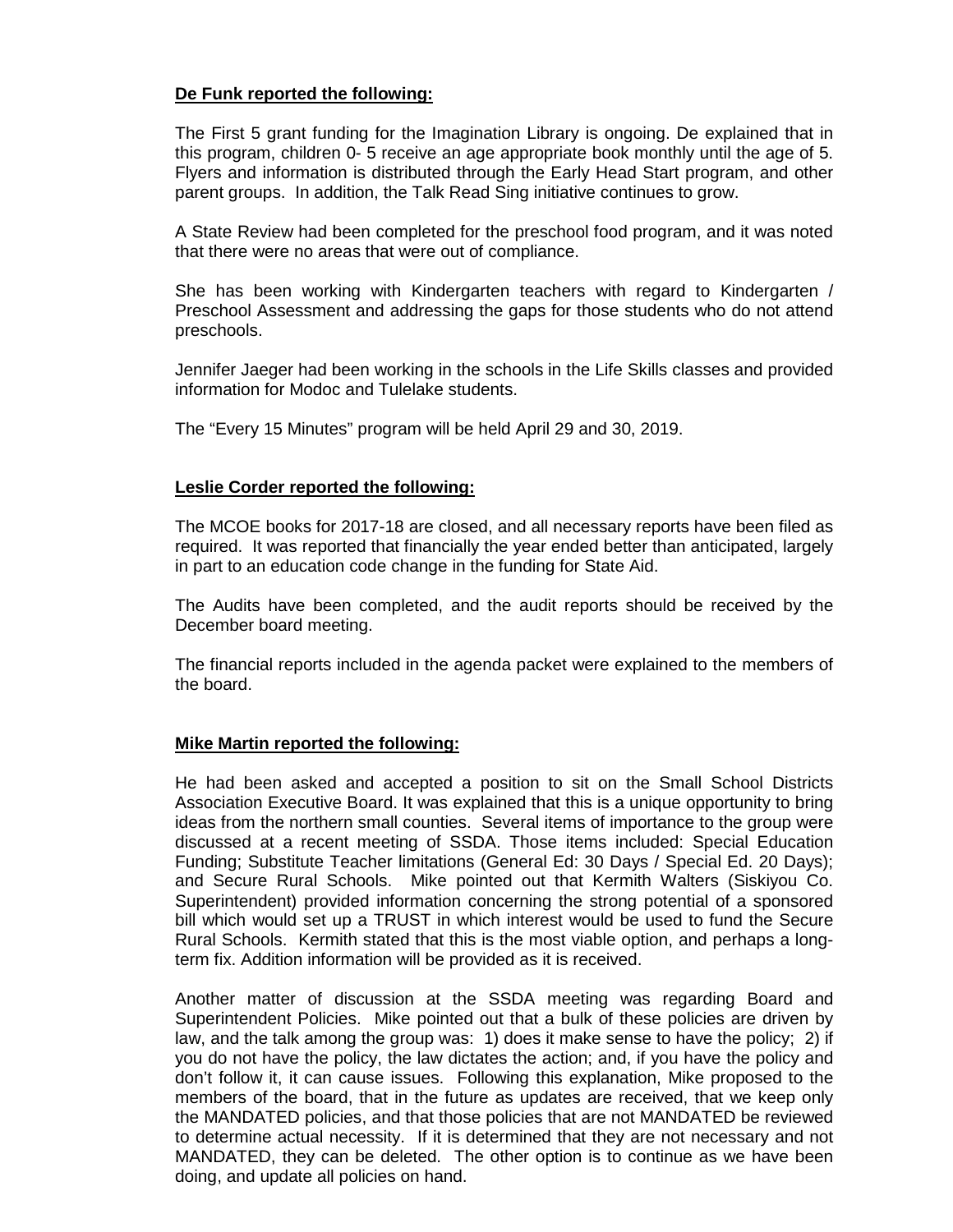## **De Funk reported the following:**

The First 5 grant funding for the Imagination Library is ongoing. De explained that in this program, children 0- 5 receive an age appropriate book monthly until the age of 5. Flyers and information is distributed through the Early Head Start program, and other parent groups. In addition, the Talk Read Sing initiative continues to grow.

A State Review had been completed for the preschool food program, and it was noted that there were no areas that were out of compliance.

She has been working with Kindergarten teachers with regard to Kindergarten / Preschool Assessment and addressing the gaps for those students who do not attend preschools.

Jennifer Jaeger had been working in the schools in the Life Skills classes and provided information for Modoc and Tulelake students.

The "Every 15 Minutes" program will be held April 29 and 30, 2019.

#### **Leslie Corder reported the following:**

The MCOE books for 2017-18 are closed, and all necessary reports have been filed as required. It was reported that financially the year ended better than anticipated, largely in part to an education code change in the funding for State Aid.

The Audits have been completed, and the audit reports should be received by the December board meeting.

The financial reports included in the agenda packet were explained to the members of the board.

#### **Mike Martin reported the following:**

He had been asked and accepted a position to sit on the Small School Districts Association Executive Board. It was explained that this is a unique opportunity to bring ideas from the northern small counties. Several items of importance to the group were discussed at a recent meeting of SSDA. Those items included: Special Education Funding; Substitute Teacher limitations (General Ed: 30 Days / Special Ed. 20 Days); and Secure Rural Schools. Mike pointed out that Kermith Walters (Siskiyou Co. Superintendent) provided information concerning the strong potential of a sponsored bill which would set up a TRUST in which interest would be used to fund the Secure Rural Schools. Kermith stated that this is the most viable option, and perhaps a longterm fix. Addition information will be provided as it is received.

Another matter of discussion at the SSDA meeting was regarding Board and Superintendent Policies. Mike pointed out that a bulk of these policies are driven by law, and the talk among the group was: 1) does it make sense to have the policy; 2) if you do not have the policy, the law dictates the action; and, if you have the policy and don't follow it, it can cause issues. Following this explanation, Mike proposed to the members of the board, that in the future as updates are received, that we keep only the MANDATED policies, and that those policies that are not MANDATED be reviewed to determine actual necessity. If it is determined that they are not necessary and not MANDATED, they can be deleted. The other option is to continue as we have been doing, and update all policies on hand.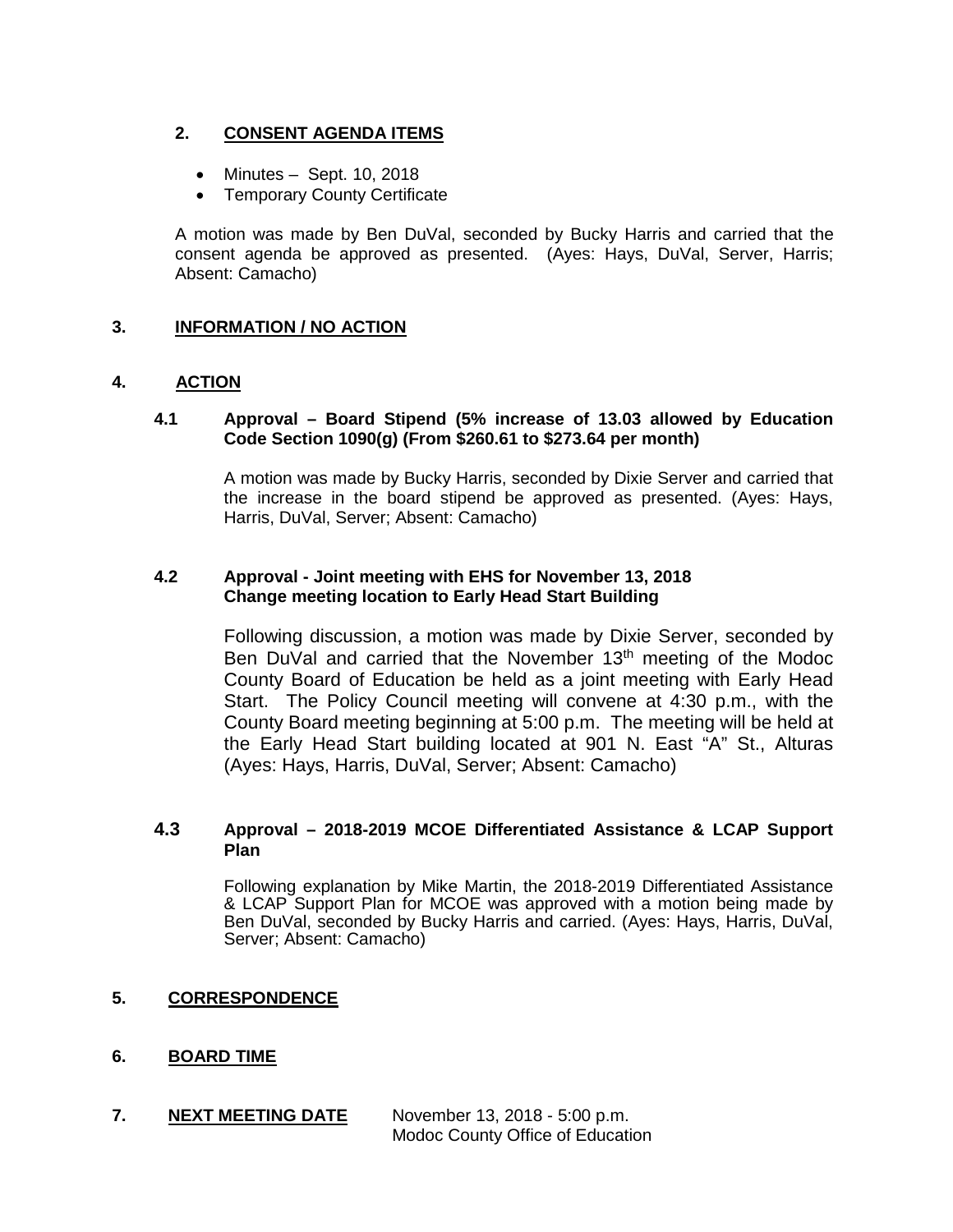## **2. CONSENT AGENDA ITEMS**

- Minutes Sept. 10, 2018
- Temporary County Certificate

A motion was made by Ben DuVal, seconded by Bucky Harris and carried that the consent agenda be approved as presented. (Ayes: Hays, DuVal, Server, Harris; Absent: Camacho)

## **3. INFORMATION / NO ACTION**

## **4. ACTION**

#### **4.1 Approval – Board Stipend (5% increase of 13.03 allowed by Education Code Section 1090(g) (From \$260.61 to \$273.64 per month)**

A motion was made by Bucky Harris, seconded by Dixie Server and carried that the increase in the board stipend be approved as presented. (Ayes: Hays, Harris, DuVal, Server; Absent: Camacho)

## **4.2 Approval - Joint meeting with EHS for November 13, 2018 Change meeting location to Early Head Start Building**

Following discussion, a motion was made by Dixie Server, seconded by Ben DuVal and carried that the November 13<sup>th</sup> meeting of the Modoc County Board of Education be held as a joint meeting with Early Head Start. The Policy Council meeting will convene at 4:30 p.m., with the County Board meeting beginning at 5:00 p.m. The meeting will be held at the Early Head Start building located at 901 N. East "A" St., Alturas (Ayes: Hays, Harris, DuVal, Server; Absent: Camacho)

#### **4.3 Approval – 2018-2019 MCOE Differentiated Assistance & LCAP Support Plan**

Following explanation by Mike Martin, the 2018-2019 Differentiated Assistance & LCAP Support Plan for MCOE was approved with a motion being made by Ben DuVal, seconded by Bucky Harris and carried. (Ayes: Hays, Harris, DuVal, Server; Absent: Camacho)

**5. CORRESPONDENCE**

## **6. BOARD TIME**

**7. NEXT MEETING DATE** November 13, 2018 - 5:00 p.m. Modoc County Office of Education